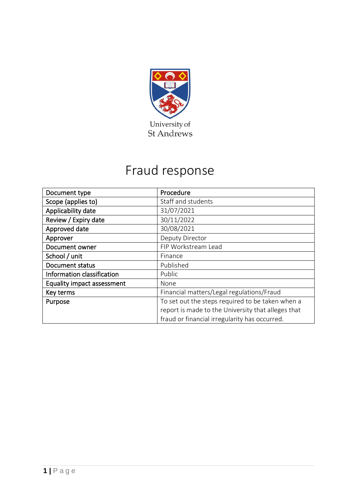

# Fraud response

| Document type                     | Procedure                                          |  |  |
|-----------------------------------|----------------------------------------------------|--|--|
| Scope (applies to)                | Staff and students                                 |  |  |
| Applicability date                | 31/07/2021                                         |  |  |
| Review / Expiry date              | 30/11/2022                                         |  |  |
| Approved date                     | 30/08/2021                                         |  |  |
| Approver                          | Deputy Director                                    |  |  |
| Document owner                    | FIP Workstream Lead                                |  |  |
| School / unit                     | Finance                                            |  |  |
| Document status                   | Published                                          |  |  |
| Information classification        | Public                                             |  |  |
| <b>Equality impact assessment</b> | None                                               |  |  |
| Key terms                         | Financial matters/Legal regulations/Fraud          |  |  |
| Purpose                           | To set out the steps required to be taken when a   |  |  |
|                                   | report is made to the University that alleges that |  |  |
|                                   | fraud or financial irregularity has occurred.      |  |  |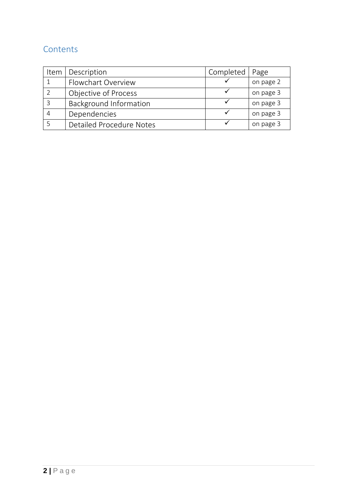# **Contents**

| Item | Description              | Completed | Page      |
|------|--------------------------|-----------|-----------|
|      | Flowchart Overview       |           | on page 2 |
|      | Objective of Process     |           | on page 3 |
|      | Background Information   |           | on page 3 |
|      | Dependencies             |           | on page 3 |
|      | Detailed Procedure Notes |           | on page 3 |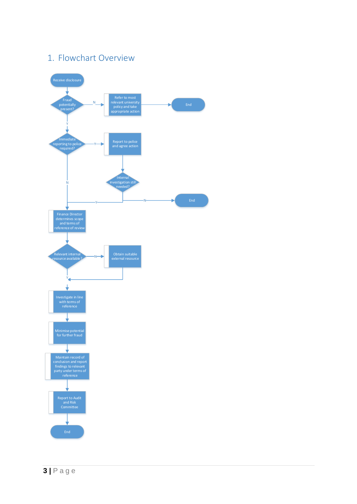# <span id="page-2-0"></span>1. Flowchart Overview

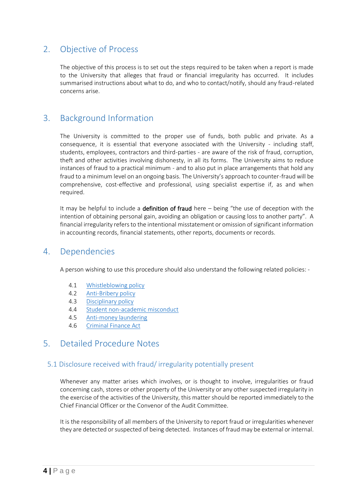## <span id="page-3-1"></span>2. Objective of Process

The objective of this process is to set out the steps required to be taken when a report is made to the University that alleges that fraud or financial irregularity has occurred. It includes summarised instructions about what to do, and who to contact/notify, should any fraud-related concerns arise.

# <span id="page-3-0"></span>3. Background Information

The University is committed to the proper use of funds, both public and private. As a consequence, it is essential that everyone associated with the University - including staff, students, employees, contractors and third-parties - are aware of the risk of fraud, corruption, theft and other activities involving dishonesty, in all its forms. The University aims to reduce instances of fraud to a practical minimum - and to also put in place arrangements that hold any fraud to a minimum level on an ongoing basis. The University's approach to counter-fraud will be comprehensive, cost-effective and professional, using specialist expertise if, as and when required.

It may be helpful to include a **definition of fraud** here  $-$  being "the use of deception with the intention of obtaining personal gain, avoiding an obligation or causing loss to another party". A financial irregularity refers to the intentional misstatement or omission of significant information in accounting records, financial statements, other reports, documents or records.

## <span id="page-3-2"></span>4. Dependencies

A person wishing to use this procedure should also understand the following related policies: -

- 4.1 [Whistleblowing policy](https://www.st-andrews.ac.uk/staff/policy/hr/whistleblowingpolicy/)
- 4.2 [Anti-Bribery policy](https://www.st-andrews.ac.uk/staff/policy/hr/giftsandhospitality/)
- 4.3 [Disciplinary policy](https://www.st-andrews.ac.uk/staff/policy/hr/disciplinaryprocedures/)
- 4.4 [Student non-academic misconduct](https://www.st-andrews.ac.uk/staff/policy/hr/disciplinaryprocedures/)
- 4.5 [Anti-money laundering](https://www.st-andrews.ac.uk/policy/financial-matters-income-and-debt-management/money-laundering.pdf)
- 4.6 [Criminal Finance Act](https://www.st-andrews.ac.uk/policy/financial-matters-legal-regulations/internal/criminal-finance-act.pdf)

## <span id="page-3-3"></span>5. Detailed Procedure Notes

#### 5.1 Disclosure received with fraud/ irregularity potentially present

Whenever any matter arises which involves, or is thought to involve, irregularities or fraud concerning cash, stores or other property of the University or any other suspected irregularity in the exercise of the activities of the University, this matter should be reported immediately to the Chief Financial Officer or the Convenor of the Audit Committee.

It is the responsibility of all members of the University to report fraud or irregularities whenever they are detected or suspected of being detected. Instances of fraud may be external or internal.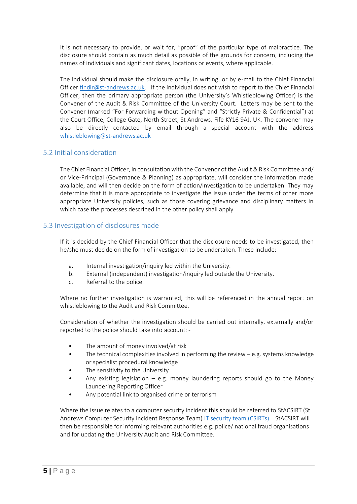It is not necessary to provide, or wait for, "proof" of the particular type of malpractice. The disclosure should contain as much detail as possible of the grounds for concern, including the names of individuals and significant dates, locations or events, where applicable.

The individual should make the disclosure orally, in writing, or by e-mail to the Chief Financial Officer [findir@st-andrews.ac.uk.](mailto:findir@st-andrews.ac.uk) If the individual does not wish to report to the Chief Financial Officer, then the primary appropriate person (the University's Whistleblowing Officer) is the Convener of the Audit & Risk Committee of the University Court. Letters may be sent to the Convener (marked "For Forwarding without Opening" and "Strictly Private & Confidential") at the Court Office, College Gate, North Street, St Andrews, Fife KY16 9AJ, UK. The convener may also be directly contacted by email through a special account with the address [whistleblowing@st-andrews.ac.uk](mailto:whistleblowing@st-andrews.ac.uk)

#### 5.2 Initial consideration

The Chief Financial Officer, in consultation with the Convenor of the Audit & Risk Committee and/ or Vice-Principal (Governance & Planning) as appropriate, will consider the information made available, and will then decide on the form of action/investigation to be undertaken. They may determine that it is more appropriate to investigate the issue under the terms of other more appropriate University policies, such as those covering grievance and disciplinary matters in which case the processes described in the other policy shall apply.

#### 5.3 Investigation of disclosures made

If it is decided by the Chief Financial Officer that the disclosure needs to be investigated, then he/she must decide on the form of investigation to be undertaken. These include:

- a. Internal investigation/inquiry led within the University.
- b. External (independent) investigation/inquiry led outside the University.
- c. Referral to the police.

Where no further investigation is warranted, this will be referenced in the annual report on whistleblowing to the Audit and Risk Committee.

Consideration of whether the investigation should be carried out internally, externally and/or reported to the police should take into account: -

- The amount of money involved/at risk
- The technical complexities involved in performing the review  $-e.g.$  systems knowledge or specialist procedural knowledge
- The sensitivity to the University
- Any existing legislation  $-$  e.g. money laundering reports should go to the Money Laundering Reporting Officer
- Any potential link to organised crime or terrorism

Where the issue relates to a computer security incident this should be referred to StACSIRT (St Andrews Computer Security Incident Response Team) [IT security team \(CSIRTs\)](https://itservices.wp.st-andrews.ac.uk/2019/12/16/our-it-security-team-a-guide-for-csirts/). StACSIRT will then be responsible for informing relevant authorities e.g. police/ national fraud organisations and for updating the University Audit and Risk Committee.